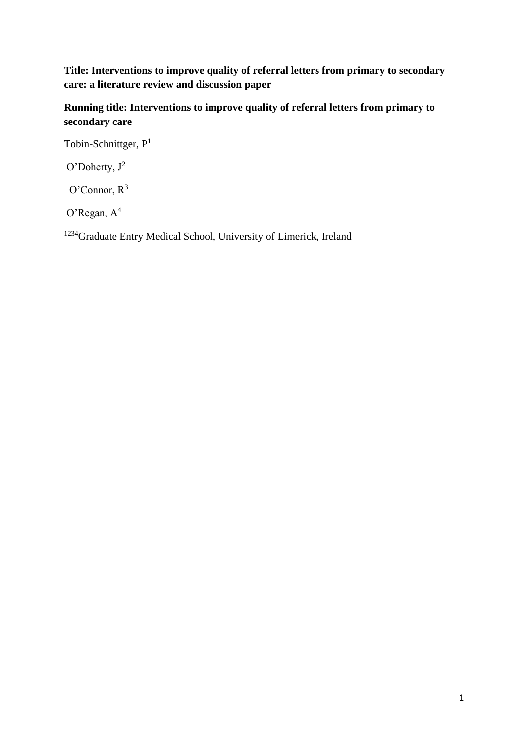**Title: Interventions to improve quality of referral letters from primary to secondary care: a literature review and discussion paper**

**Running title: Interventions to improve quality of referral letters from primary to secondary care**

Tobin-Schnittger, P<sup>1</sup>

O'Doherty, J<sup>2</sup>

O'Connor,  $R^3$ 

O'Regan, A<sup>4</sup>

<sup>1234</sup>Graduate Entry Medical School, University of Limerick, Ireland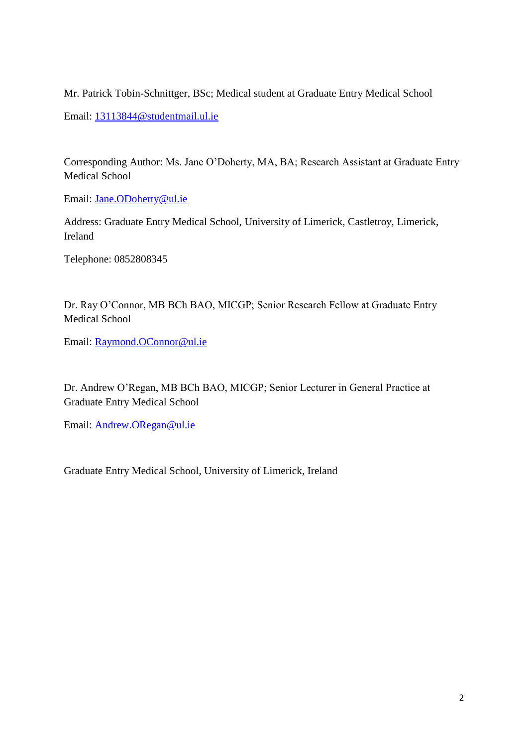Mr. Patrick Tobin-Schnittger, BSc; Medical student at Graduate Entry Medical School

Email: [13113844@studentmail.ul.ie](mailto:13113844@studentmail.ul.ie)

Corresponding Author: Ms. Jane O'Doherty, MA, BA; Research Assistant at Graduate Entry Medical School

Email: [Jane.ODoherty@ul.ie](mailto:Jane.ODoherty@ul.ie)

Address: Graduate Entry Medical School, University of Limerick, Castletroy, Limerick, Ireland

Telephone: 0852808345

Dr. Ray O'Connor, MB BCh BAO, MICGP; Senior Research Fellow at Graduate Entry Medical School

Email: [Raymond.OConnor@ul.ie](mailto:Raymond.OConnor@ul.ie)

Dr. Andrew O'Regan, MB BCh BAO, MICGP; Senior Lecturer in General Practice at Graduate Entry Medical School

Email: [Andrew.ORegan@ul.ie](mailto:Andrew.ORegan@ul.ie)

Graduate Entry Medical School, University of Limerick, Ireland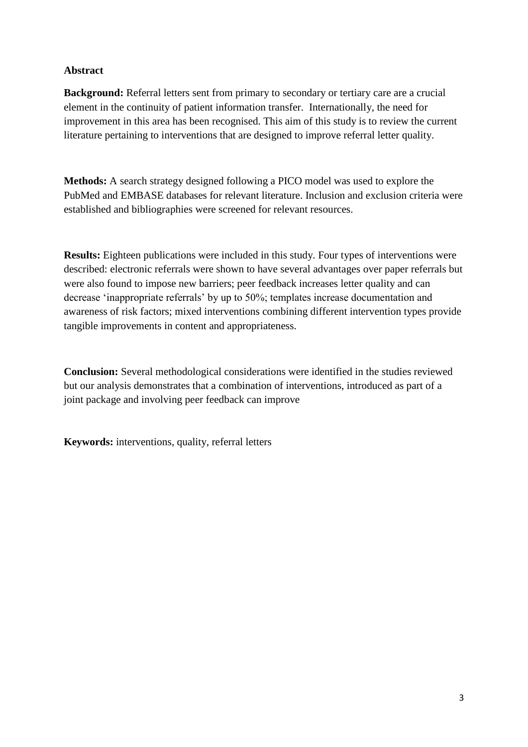# **Abstract**

**Background:** Referral letters sent from primary to secondary or tertiary care are a crucial element in the continuity of patient information transfer. Internationally, the need for improvement in this area has been recognised. This aim of this study is to review the current literature pertaining to interventions that are designed to improve referral letter quality.

**Methods:** A search strategy designed following a PICO model was used to explore the PubMed and EMBASE databases for relevant literature. Inclusion and exclusion criteria were established and bibliographies were screened for relevant resources.

**Results:** Eighteen publications were included in this study. Four types of interventions were described: electronic referrals were shown to have several advantages over paper referrals but were also found to impose new barriers; peer feedback increases letter quality and can decrease 'inappropriate referrals' by up to 50%; templates increase documentation and awareness of risk factors; mixed interventions combining different intervention types provide tangible improvements in content and appropriateness.

**Conclusion:** Several methodological considerations were identified in the studies reviewed but our analysis demonstrates that a combination of interventions, introduced as part of a joint package and involving peer feedback can improve

**Keywords:** interventions, quality, referral letters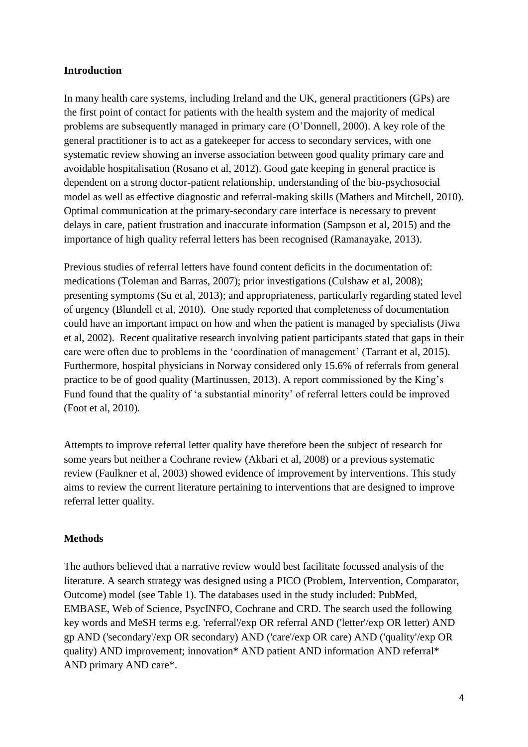## **Introduction**

In many health care systems, including Ireland and the UK, general practitioners (GPs) are the first point of contact for patients with the health system and the majority of medical problems are subsequently managed in primary care (O'Donnell, 2000). A key role of the general practitioner is to act as a gatekeeper for access to secondary services, with one systematic review showing an inverse association between good quality primary care and avoidable hospitalisation (Rosano et al, 2012). Good gate keeping in general practice is dependent on a strong doctor-patient relationship, understanding of the bio-psychosocial model as well as effective diagnostic and referral-making skills (Mathers and Mitchell, 2010). Optimal communication at the primary-secondary care interface is necessary to prevent delays in care, patient frustration and inaccurate information (Sampson et al, 2015) and the importance of high quality referral letters has been recognised (Ramanayake, 2013).

Previous studies of referral letters have found content deficits in the documentation of: medications (Toleman and Barras, 2007); prior investigations (Culshaw et al, 2008); presenting symptoms (Su et al, 2013); and appropriateness, particularly regarding stated level of urgency (Blundell et al, 2010). One study reported that completeness of documentation could have an important impact on how and when the patient is managed by specialists (Jiwa et al, 2002).Recent qualitative research involving patient participants stated that gaps in their care were often due to problems in the 'coordination of management' (Tarrant et al, 2015). Furthermore, hospital physicians in Norway considered only 15.6% of referrals from general practice to be of good quality (Martinussen, 2013). A report commissioned by the King's Fund found that the quality of 'a substantial minority' of referral letters could be improved (Foot et al, 2010).

Attempts to improve referral letter quality have therefore been the subject of research for some years but neither a Cochrane review (Akbari et al, 2008) or a previous systematic review (Faulkner et al, 2003) showed evidence of improvement by interventions. This study aims to review the current literature pertaining to interventions that are designed to improve referral letter quality.

#### **Methods**

The authors believed that a narrative review would best facilitate focussed analysis of the literature. A search strategy was designed using a PICO (Problem, Intervention, Comparator, Outcome) model (see Table 1). The databases used in the study included: PubMed, EMBASE, Web of Science, PsycINFO, Cochrane and CRD. The search used the following key words and MeSH terms e.g. 'referral'/exp OR referral AND ('letter'/exp OR letter) AND gp AND ('secondary'/exp OR secondary) AND ('care'/exp OR care) AND ('quality'/exp OR quality) AND improvement; innovation\* AND patient AND information AND referral\* AND primary AND care\*.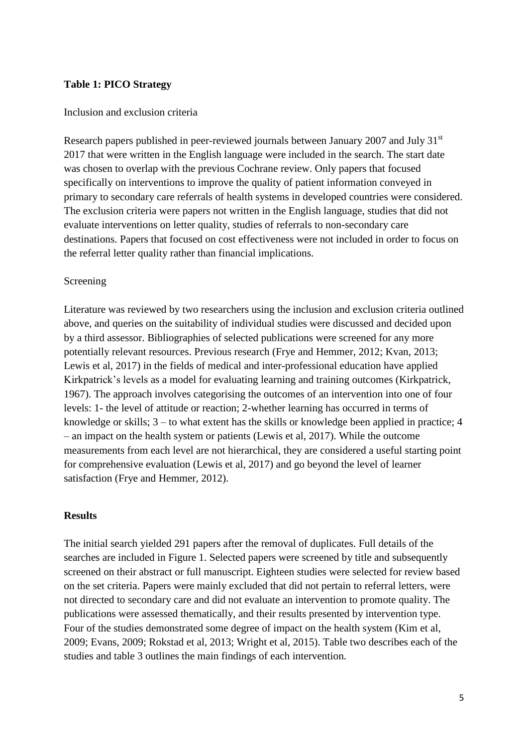#### **Table 1: PICO Strategy**

#### Inclusion and exclusion criteria

Research papers published in peer-reviewed journals between January 2007 and July 31<sup>st</sup> 2017 that were written in the English language were included in the search. The start date was chosen to overlap with the previous Cochrane review. Only papers that focused specifically on interventions to improve the quality of patient information conveyed in primary to secondary care referrals of health systems in developed countries were considered. The exclusion criteria were papers not written in the English language, studies that did not evaluate interventions on letter quality, studies of referrals to non-secondary care destinations. Papers that focused on cost effectiveness were not included in order to focus on the referral letter quality rather than financial implications.

#### Screening

Literature was reviewed by two researchers using the inclusion and exclusion criteria outlined above, and queries on the suitability of individual studies were discussed and decided upon by a third assessor. Bibliographies of selected publications were screened for any more potentially relevant resources. Previous research (Frye and Hemmer, 2012; Kvan, 2013; Lewis et al, 2017) in the fields of medical and inter-professional education have applied Kirkpatrick's levels as a model for evaluating learning and training outcomes (Kirkpatrick, 1967). The approach involves categorising the outcomes of an intervention into one of four levels: 1- the level of attitude or reaction; 2-whether learning has occurred in terms of knowledge or skills; 3 – to what extent has the skills or knowledge been applied in practice; 4 – an impact on the health system or patients (Lewis et al, 2017). While the outcome measurements from each level are not hierarchical, they are considered a useful starting point for comprehensive evaluation (Lewis et al, 2017) and go beyond the level of learner satisfaction (Frye and Hemmer, 2012).

#### **Results**

The initial search yielded 291 papers after the removal of duplicates. Full details of the searches are included in Figure 1. Selected papers were screened by title and subsequently screened on their abstract or full manuscript. Eighteen studies were selected for review based on the set criteria. Papers were mainly excluded that did not pertain to referral letters, were not directed to secondary care and did not evaluate an intervention to promote quality. The publications were assessed thematically, and their results presented by intervention type. Four of the studies demonstrated some degree of impact on the health system (Kim et al, 2009; Evans, 2009; Rokstad et al, 2013; Wright et al, 2015). Table two describes each of the studies and table 3 outlines the main findings of each intervention.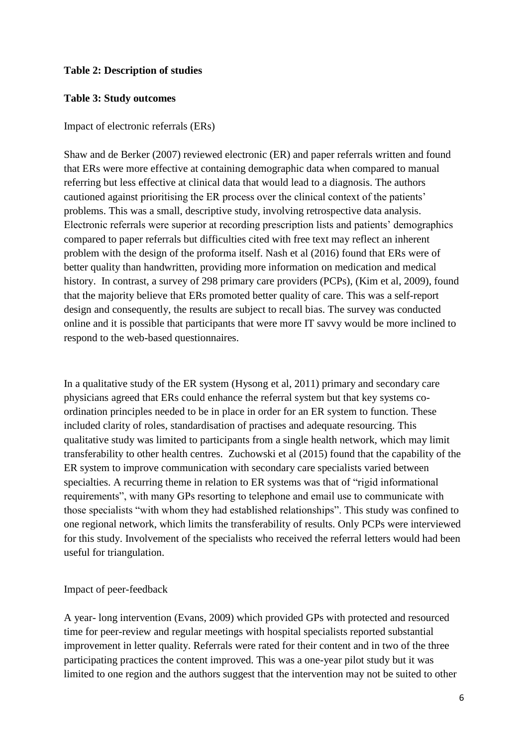# **Table 2: Description of studies**

# **Table 3: Study outcomes**

## Impact of electronic referrals (ERs)

Shaw and de Berker (2007) reviewed electronic (ER) and paper referrals written and found that ERs were more effective at containing demographic data when compared to manual referring but less effective at clinical data that would lead to a diagnosis. The authors cautioned against prioritising the ER process over the clinical context of the patients' problems. This was a small, descriptive study, involving retrospective data analysis. Electronic referrals were superior at recording prescription lists and patients' demographics compared to paper referrals but difficulties cited with free text may reflect an inherent problem with the design of the proforma itself. Nash et al (2016) found that ERs were of better quality than handwritten, providing more information on medication and medical history. In contrast, a survey of 298 primary care providers (PCPs), (Kim et al, 2009), found that the majority believe that ERs promoted better quality of care. This was a self-report design and consequently, the results are subject to recall bias. The survey was conducted online and it is possible that participants that were more IT savvy would be more inclined to respond to the web-based questionnaires.

In a qualitative study of the ER system (Hysong et al, 2011) primary and secondary care physicians agreed that ERs could enhance the referral system but that key systems coordination principles needed to be in place in order for an ER system to function. These included clarity of roles, standardisation of practises and adequate resourcing. This qualitative study was limited to participants from a single health network, which may limit transferability to other health centres. Zuchowski et al (2015) found that the capability of the ER system to improve communication with secondary care specialists varied between specialties. A recurring theme in relation to ER systems was that of "rigid informational requirements", with many GPs resorting to telephone and email use to communicate with those specialists "with whom they had established relationships". This study was confined to one regional network, which limits the transferability of results. Only PCPs were interviewed for this study. Involvement of the specialists who received the referral letters would had been useful for triangulation.

# Impact of peer-feedback

A year- long intervention (Evans, 2009) which provided GPs with protected and resourced time for peer-review and regular meetings with hospital specialists reported substantial improvement in letter quality. Referrals were rated for their content and in two of the three participating practices the content improved. This was a one-year pilot study but it was limited to one region and the authors suggest that the intervention may not be suited to other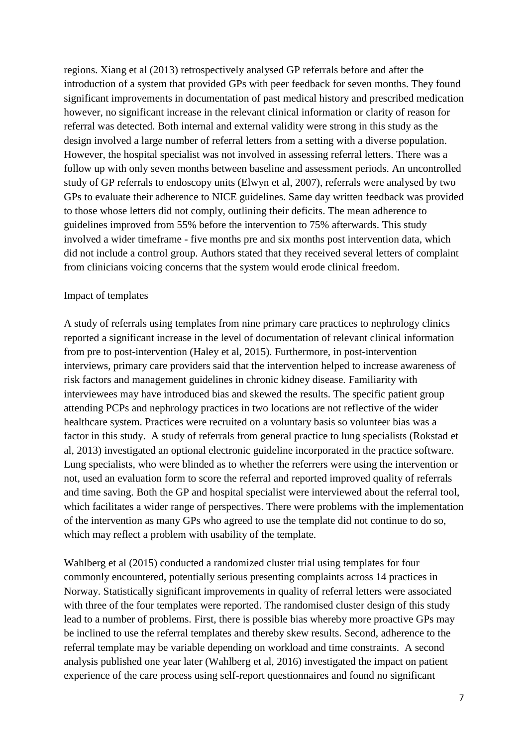regions. Xiang et al (2013) retrospectively analysed GP referrals before and after the introduction of a system that provided GPs with peer feedback for seven months. They found significant improvements in documentation of past medical history and prescribed medication however, no significant increase in the relevant clinical information or clarity of reason for referral was detected. Both internal and external validity were strong in this study as the design involved a large number of referral letters from a setting with a diverse population. However, the hospital specialist was not involved in assessing referral letters. There was a follow up with only seven months between baseline and assessment periods. An uncontrolled study of GP referrals to endoscopy units (Elwyn et al, 2007), referrals were analysed by two GPs to evaluate their adherence to NICE guidelines. Same day written feedback was provided to those whose letters did not comply, outlining their deficits. The mean adherence to guidelines improved from 55% before the intervention to 75% afterwards. This study involved a wider timeframe - five months pre and six months post intervention data, which did not include a control group. Authors stated that they received several letters of complaint from clinicians voicing concerns that the system would erode clinical freedom.

#### Impact of templates

A study of referrals using templates from nine primary care practices to nephrology clinics reported a significant increase in the level of documentation of relevant clinical information from pre to post-intervention (Haley et al, 2015). Furthermore, in post-intervention interviews, primary care providers said that the intervention helped to increase awareness of risk factors and management guidelines in chronic kidney disease. Familiarity with interviewees may have introduced bias and skewed the results. The specific patient group attending PCPs and nephrology practices in two locations are not reflective of the wider healthcare system. Practices were recruited on a voluntary basis so volunteer bias was a factor in this study. A study of referrals from general practice to lung specialists (Rokstad et al, 2013) investigated an optional electronic guideline incorporated in the practice software. Lung specialists, who were blinded as to whether the referrers were using the intervention or not, used an evaluation form to score the referral and reported improved quality of referrals and time saving. Both the GP and hospital specialist were interviewed about the referral tool, which facilitates a wider range of perspectives. There were problems with the implementation of the intervention as many GPs who agreed to use the template did not continue to do so, which may reflect a problem with usability of the template.

Wahlberg et al (2015) conducted a randomized cluster trial using templates for four commonly encountered, potentially serious presenting complaints across 14 practices in Norway. Statistically significant improvements in quality of referral letters were associated with three of the four templates were reported. The randomised cluster design of this study lead to a number of problems. First, there is possible bias whereby more proactive GPs may be inclined to use the referral templates and thereby skew results. Second, adherence to the referral template may be variable depending on workload and time constraints. A second analysis published one year later (Wahlberg et al, 2016) investigated the impact on patient experience of the care process using self-report questionnaires and found no significant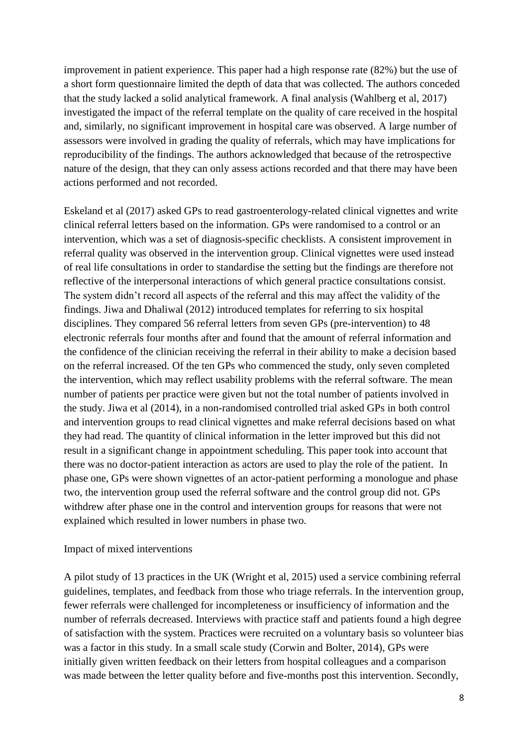improvement in patient experience. This paper had a high response rate (82%) but the use of a short form questionnaire limited the depth of data that was collected. The authors conceded that the study lacked a solid analytical framework. A final analysis (Wahlberg et al, 2017) investigated the impact of the referral template on the quality of care received in the hospital and, similarly, no significant improvement in hospital care was observed. A large number of assessors were involved in grading the quality of referrals, which may have implications for reproducibility of the findings. The authors acknowledged that because of the retrospective nature of the design, that they can only assess actions recorded and that there may have been actions performed and not recorded.

Eskeland et al (2017) asked GPs to read gastroenterology-related clinical vignettes and write clinical referral letters based on the information. GPs were randomised to a control or an intervention, which was a set of diagnosis-specific checklists. A consistent improvement in referral quality was observed in the intervention group. Clinical vignettes were used instead of real life consultations in order to standardise the setting but the findings are therefore not reflective of the interpersonal interactions of which general practice consultations consist. The system didn't record all aspects of the referral and this may affect the validity of the findings. Jiwa and Dhaliwal (2012) introduced templates for referring to six hospital disciplines. They compared 56 referral letters from seven GPs (pre-intervention) to 48 electronic referrals four months after and found that the amount of referral information and the confidence of the clinician receiving the referral in their ability to make a decision based on the referral increased. Of the ten GPs who commenced the study, only seven completed the intervention, which may reflect usability problems with the referral software. The mean number of patients per practice were given but not the total number of patients involved in the study. Jiwa et al (2014), in a non-randomised controlled trial asked GPs in both control and intervention groups to read clinical vignettes and make referral decisions based on what they had read. The quantity of clinical information in the letter improved but this did not result in a significant change in appointment scheduling. This paper took into account that there was no doctor-patient interaction as actors are used to play the role of the patient. In phase one, GPs were shown vignettes of an actor-patient performing a monologue and phase two, the intervention group used the referral software and the control group did not. GPs withdrew after phase one in the control and intervention groups for reasons that were not explained which resulted in lower numbers in phase two.

#### Impact of mixed interventions

A pilot study of 13 practices in the UK (Wright et al, 2015) used a service combining referral guidelines, templates, and feedback from those who triage referrals. In the intervention group, fewer referrals were challenged for incompleteness or insufficiency of information and the number of referrals decreased. Interviews with practice staff and patients found a high degree of satisfaction with the system. Practices were recruited on a voluntary basis so volunteer bias was a factor in this study. In a small scale study (Corwin and Bolter, 2014), GPs were initially given written feedback on their letters from hospital colleagues and a comparison was made between the letter quality before and five-months post this intervention. Secondly,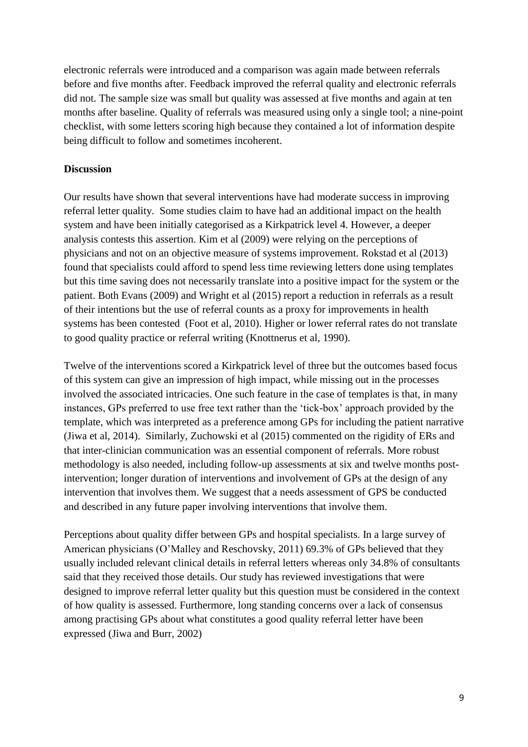electronic referrals were introduced and a comparison was again made between referrals before and five months after. Feedback improved the referral quality and electronic referrals did not. The sample size was small but quality was assessed at five months and again at ten months after baseline. Quality of referrals was measured using only a single tool; a nine-point checklist, with some letters scoring high because they contained a lot of information despite being difficult to follow and sometimes incoherent.

#### **Discussion**

Our results have shown that several interventions have had moderate success in improving referral letter quality. Some studies claim to have had an additional impact on the health system and have been initially categorised as a Kirkpatrick level 4. However, a deeper analysis contests this assertion. Kim et al (2009) were relying on the perceptions of physicians and not on an objective measure of systems improvement. Rokstad et al (2013) found that specialists could afford to spend less time reviewing letters done using templates but this time saving does not necessarily translate into a positive impact for the system or the patient. Both Evans (2009) and Wright et al (2015) report a reduction in referrals as a result of their intentions but the use of referral counts as a proxy for improvements in health systems has been contested (Foot et al, 2010). Higher or lower referral rates do not translate to good quality practice or referral writing (Knottnerus et al, 1990).

Twelve of the interventions scored a Kirkpatrick level of three but the outcomes based focus of this system can give an impression of high impact, while missing out in the processes involved the associated intricacies. One such feature in the case of templates is that, in many instances, GPs preferred to use free text rather than the 'tick-box' approach provided by the template, which was interpreted as a preference among GPs for including the patient narrative (Jiwa et al, 2014). Similarly, Zuchowski et al (2015) commented on the rigidity of ERs and that inter-clinician communication was an essential component of referrals. More robust methodology is also needed, including follow-up assessments at six and twelve months postintervention; longer duration of interventions and involvement of GPs at the design of any intervention that involves them. We suggest that a needs assessment of GPS be conducted and described in any future paper involving interventions that involve them.

Perceptions about quality differ between GPs and hospital specialists. In a large survey of American physicians (O'Malley and Reschovsky, 2011) 69.3% of GPs believed that they usually included relevant clinical details in referral letters whereas only 34.8% of consultants said that they received those details. Our study has reviewed investigations that were designed to improve referral letter quality but this question must be considered in the context of how quality is assessed. Furthermore, long standing concerns over a lack of consensus among practising GPs about what constitutes a good quality referral letter have been expressed (Jiwa and Burr, 2002)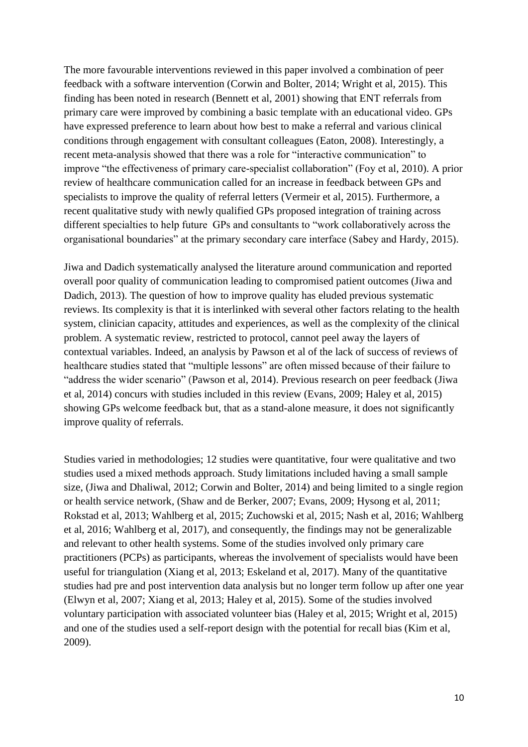The more favourable interventions reviewed in this paper involved a combination of peer feedback with a software intervention (Corwin and Bolter, 2014; Wright et al, 2015). This finding has been noted in research (Bennett et al, 2001) showing that ENT referrals from primary care were improved by combining a basic template with an educational video. GPs have expressed preference to learn about how best to make a referral and various clinical conditions through engagement with consultant colleagues (Eaton, 2008). Interestingly, a recent meta-analysis showed that there was a role for "interactive communication" to improve "the effectiveness of primary care-specialist collaboration" (Foy et al, 2010). A prior review of healthcare communication called for an increase in feedback between GPs and specialists to improve the quality of referral letters (Vermeir et al, 2015). Furthermore, a recent qualitative study with newly qualified GPs proposed integration of training across different specialties to help future GPs and consultants to "work collaboratively across the organisational boundaries" at the primary secondary care interface (Sabey and Hardy, 2015).

Jiwa and Dadich systematically analysed the literature around communication and reported overall poor quality of communication leading to compromised patient outcomes (Jiwa and Dadich, 2013). The question of how to improve quality has eluded previous systematic reviews. Its complexity is that it is interlinked with several other factors relating to the health system, clinician capacity, attitudes and experiences, as well as the complexity of the clinical problem. A systematic review, restricted to protocol, cannot peel away the layers of contextual variables. Indeed, an analysis by Pawson et al of the lack of success of reviews of healthcare studies stated that "multiple lessons" are often missed because of their failure to "address the wider scenario" (Pawson et al, 2014). Previous research on peer feedback (Jiwa et al, 2014) concurs with studies included in this review (Evans, 2009; Haley et al, 2015) showing GPs welcome feedback but, that as a stand-alone measure, it does not significantly improve quality of referrals.

Studies varied in methodologies; 12 studies were quantitative, four were qualitative and two studies used a mixed methods approach. Study limitations included having a small sample size, (Jiwa and Dhaliwal, 2012; Corwin and Bolter, 2014) and being limited to a single region or health service network, (Shaw and de Berker, 2007; Evans, 2009; Hysong et al, 2011; Rokstad et al, 2013; Wahlberg et al, 2015; Zuchowski et al, 2015; Nash et al, 2016; Wahlberg et al, 2016; Wahlberg et al, 2017), and consequently, the findings may not be generalizable and relevant to other health systems. Some of the studies involved only primary care practitioners (PCPs) as participants, whereas the involvement of specialists would have been useful for triangulation (Xiang et al, 2013; Eskeland et al, 2017). Many of the quantitative studies had pre and post intervention data analysis but no longer term follow up after one year (Elwyn et al, 2007; Xiang et al, 2013; Haley et al, 2015). Some of the studies involved voluntary participation with associated volunteer bias (Haley et al, 2015; Wright et al, 2015) and one of the studies used a self-report design with the potential for recall bias (Kim et al, 2009).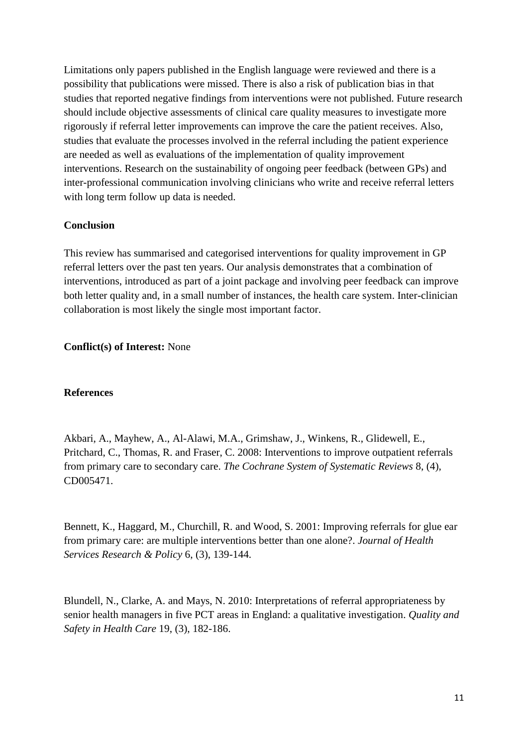Limitations only papers published in the English language were reviewed and there is a possibility that publications were missed. There is also a risk of publication bias in that studies that reported negative findings from interventions were not published. Future research should include objective assessments of clinical care quality measures to investigate more rigorously if referral letter improvements can improve the care the patient receives. Also, studies that evaluate the processes involved in the referral including the patient experience are needed as well as evaluations of the implementation of quality improvement interventions. Research on the sustainability of ongoing peer feedback (between GPs) and inter-professional communication involving clinicians who write and receive referral letters with long term follow up data is needed.

#### **Conclusion**

This review has summarised and categorised interventions for quality improvement in GP referral letters over the past ten years. Our analysis demonstrates that a combination of interventions, introduced as part of a joint package and involving peer feedback can improve both letter quality and, in a small number of instances, the health care system. Inter-clinician collaboration is most likely the single most important factor.

#### **Conflict(s) of Interest:** None

#### **References**

Akbari, A., Mayhew, A., Al-Alawi, M.A., Grimshaw, J., Winkens, R., Glidewell, E., Pritchard, C., Thomas, R. and Fraser, C. 2008: Interventions to improve outpatient referrals from primary care to secondary care. *The Cochrane System of Systematic Reviews* 8, (4), CD005471.

Bennett, K., Haggard, M., Churchill, R. and Wood, S. 2001: Improving referrals for glue ear from primary care: are multiple interventions better than one alone?. *Journal of Health Services Research & Policy* 6, (3), 139-144.

Blundell, N., Clarke, A. and Mays, N. 2010: Interpretations of referral appropriateness by senior health managers in five PCT areas in England: a qualitative investigation. *Quality and Safety in Health Care* 19, (3), 182-186.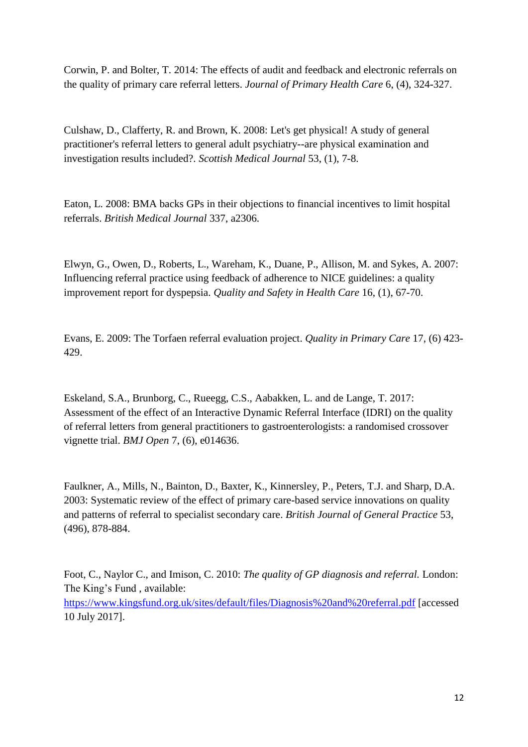Corwin, P. and Bolter, T. 2014: The effects of audit and feedback and electronic referrals on the quality of primary care referral letters. *Journal of Primary Health Care* 6, (4), 324-327.

Culshaw, D., Clafferty, R. and Brown, K. 2008: Let's get physical! A study of general practitioner's referral letters to general adult psychiatry--are physical examination and investigation results included?*. Scottish Medical Journal* 53, (1), 7-8.

Eaton, L. 2008: BMA backs GPs in their objections to financial incentives to limit hospital referrals. *British Medical Journal* 337, a2306.

Elwyn, G., Owen, D., Roberts, L., Wareham, K., Duane, P., Allison, M. and Sykes, A. 2007: Influencing referral practice using feedback of adherence to NICE guidelines: a quality improvement report for dyspepsia. *Quality and Safety in Health Care* 16, (1), 67-70.

Evans, E. 2009: The Torfaen referral evaluation project. *Quality in Primary Care* 17, (6) 423- 429.

Eskeland, S.A., Brunborg, C., Rueegg, C.S., Aabakken, L. and de Lange, T. 2017: Assessment of the effect of an Interactive Dynamic Referral Interface (IDRI) on the quality of referral letters from general practitioners to gastroenterologists: a randomised crossover vignette trial. *BMJ Open* 7, (6), e014636.

Faulkner, A., Mills, N., Bainton, D., Baxter, K., Kinnersley, P., Peters, T.J. and Sharp, D.A. 2003: Systematic review of the effect of primary care-based service innovations on quality and patterns of referral to specialist secondary care. *British Journal of General Practice* 53, (496), 878-884.

Foot, C., Naylor C., and Imison, C. 2010: *The quality of GP diagnosis and referral.* London: The King's Fund , available: <https://www.kingsfund.org.uk/sites/default/files/Diagnosis%20and%20referral.pdf> [accessed 10 July 2017].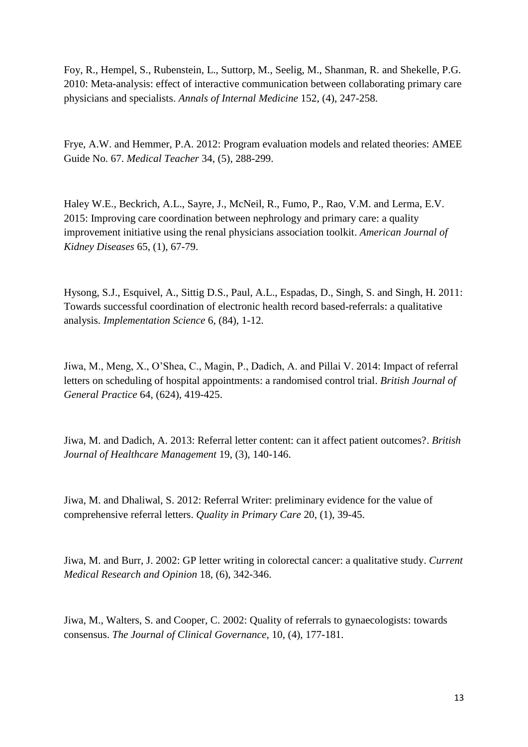Foy, R., Hempel, S., Rubenstein, L., Suttorp, M., Seelig, M., Shanman, R. and Shekelle, P.G. 2010: Meta-analysis: effect of interactive communication between collaborating primary care physicians and specialists. *Annals of Internal Medicine* 152, (4), 247-258.

Frye, A.W. and Hemmer, P.A. 2012: Program evaluation models and related theories: AMEE Guide No. 67. *Medical Teacher* 34, (5), 288-299.

Haley W.E., Beckrich, A.L., Sayre, J., McNeil, R., Fumo, P., Rao, V.M. and Lerma, E.V. 2015: Improving care coordination between nephrology and primary care: a quality improvement initiative using the renal physicians association toolkit. *American Journal of Kidney Diseases* 65, (1), 67-79.

Hysong, S.J., Esquivel, A., Sittig D.S., Paul, A.L., Espadas, D., Singh, S. and Singh, H. 2011: Towards successful coordination of electronic health record based-referrals: a qualitative analysis. *Implementation Science* 6, (84), 1-12.

Jiwa, M., Meng, X., O'Shea, C., Magin, P., Dadich, A. and Pillai V. 2014: Impact of referral letters on scheduling of hospital appointments: a randomised control trial. *British Journal of General Practice* 64, (624), 419-425.

Jiwa, M. and Dadich, A. 2013: Referral letter content: can it affect patient outcomes?. *British Journal of Healthcare Management* 19, (3), 140-146.

Jiwa, M. and Dhaliwal, S. 2012: Referral Writer: preliminary evidence for the value of comprehensive referral letters. *Quality in Primary Care* 20, (1), 39-45.

Jiwa, M. and Burr, J. 2002: GP letter writing in colorectal cancer: a qualitative study. *Current Medical Research and Opinion* 18, (6), 342-346.

Jiwa, M., Walters, S. and Cooper, C. 2002: Quality of referrals to gynaecologists: towards consensus. *The Journal of Clinical Governance*, 10, (4), 177-181.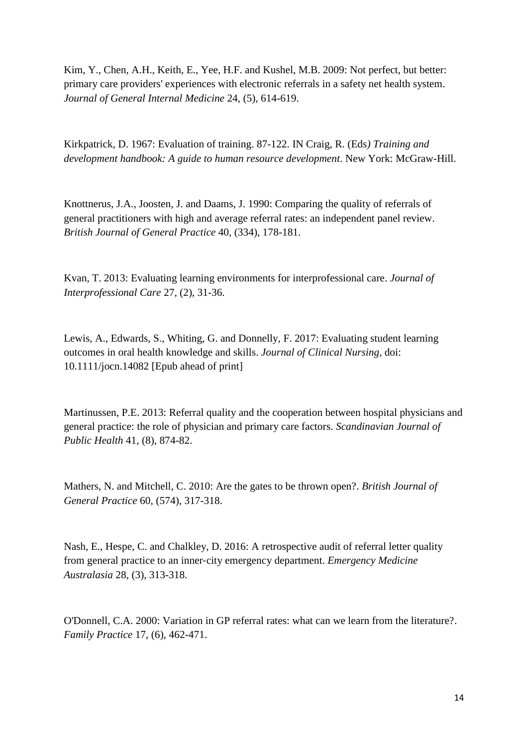Kim, Y., Chen, A.H., Keith, E., Yee, H.F. and Kushel, M.B. 2009: Not perfect, but better: primary care providers' experiences with electronic referrals in a safety net health system. *Journal of General Internal Medicine* 24, (5), 614-619.

Kirkpatrick, D. 1967: Evaluation of training. 87-122. IN Craig, R. (Eds*) Training and development handbook: A guide to human resource development*. New York: McGraw-Hill.

Knottnerus, J.A., Joosten, J. and Daams, J. 1990: Comparing the quality of referrals of general practitioners with high and average referral rates: an independent panel review. *British Journal of General Practice* 40, (334), 178-181.

Kvan, T. 2013: Evaluating learning environments for interprofessional care. *Journal of Interprofessional Care* 27, (2), 31-36.

Lewis, A., Edwards, S., Whiting, G. and Donnelly, F. 2017: Evaluating student learning outcomes in oral health knowledge and skills. *Journal of Clinical Nursing*, doi: 10.1111/jocn.14082 [Epub ahead of print]

Martinussen, P.E. 2013: Referral quality and the cooperation between hospital physicians and general practice: the role of physician and primary care factors. *Scandinavian Journal of Public Health* 41, (8), 874-82.

Mathers, N. and Mitchell, C. 2010: Are the gates to be thrown open?. *British Journal of General Practice* 60, (574), 317-318.

Nash, E., Hespe, C. and Chalkley, D. 2016: A retrospective audit of referral letter quality from general practice to an inner‐city emergency department. *Emergency Medicine Australasia* 28, (3), 313-318.

O'Donnell, C.A. 2000: Variation in GP referral rates: what can we learn from the literature?. *Family Practice* 17, (6), 462-471.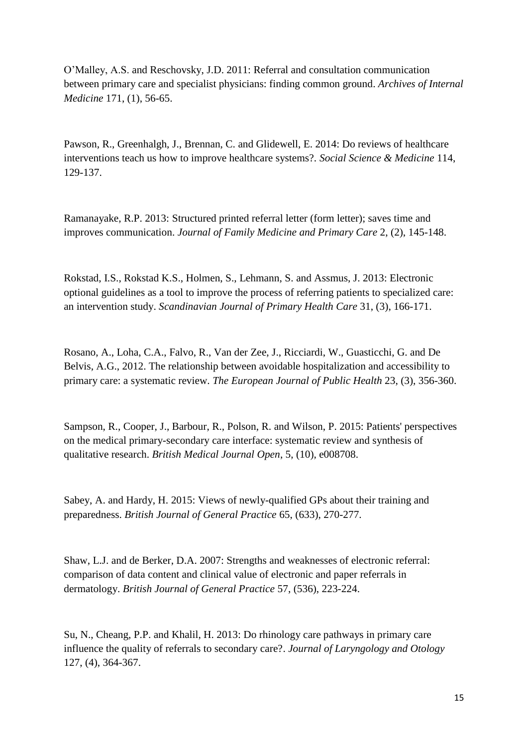O'Malley, A.S. and Reschovsky, J.D. 2011: Referral and consultation communication between primary care and specialist physicians: finding common ground. *Archives of Internal Medicine* 171, (1), 56-65.

Pawson, R., Greenhalgh, J., Brennan, C. and Glidewell, E. 2014: Do reviews of healthcare interventions teach us how to improve healthcare systems?*. Social Science & Medicine* 114, 129-137.

Ramanayake, R.P. 2013: Structured printed referral letter (form letter); saves time and improves communication. *Journal of Family Medicine and Primary Care* 2, (2), 145-148.

Rokstad, I.S., Rokstad K.S., Holmen, S., Lehmann, S. and Assmus, J. 2013: Electronic optional guidelines as a tool to improve the process of referring patients to specialized care: an intervention study. *Scandinavian Journal of Primary Health Care* 31, (3), 166-171.

Rosano, A., Loha, C.A., Falvo, R., Van der Zee, J., Ricciardi, W., Guasticchi, G. and De Belvis, A.G., 2012. The relationship between avoidable hospitalization and accessibility to primary care: a systematic review. *The European Journal of Public Health* 23, (3), 356-360.

Sampson, R., Cooper, J., Barbour, R., Polson, R. and Wilson, P. 2015: Patients' perspectives on the medical primary-secondary care interface: systematic review and synthesis of qualitative research. *British Medical Journal Open*, 5, (10), e008708.

Sabey, A. and Hardy, H. 2015: Views of newly-qualified GPs about their training and preparedness. *British Journal of General Practice* 65, (633), 270-277.

Shaw, L.J. and de Berker, D.A. 2007: Strengths and weaknesses of electronic referral: comparison of data content and clinical value of electronic and paper referrals in dermatology. *British Journal of General Practice* 57, (536), 223-224.

Su, N., Cheang, P.P. and Khalil, H. 2013: Do rhinology care pathways in primary care influence the quality of referrals to secondary care?. *Journal of Laryngology and Otology* 127, (4), 364-367.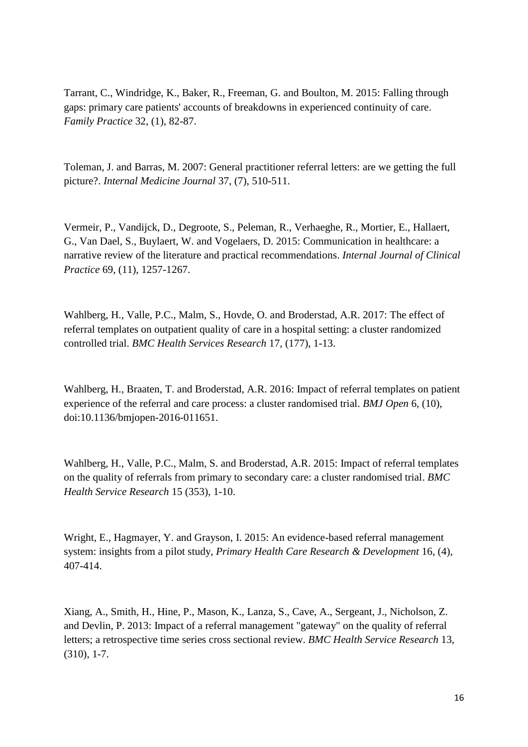Tarrant, C., Windridge, K., Baker, R., Freeman, G. and Boulton, M. 2015: Falling through gaps: primary care patients' accounts of breakdowns in experienced continuity of care. *Family Practice* 32, (1), 82-87.

Toleman, J. and Barras, M. 2007: General practitioner referral letters: are we getting the full picture?. *Internal Medicine Journal* 37, (7), 510-511.

Vermeir, P., Vandijck, D., Degroote, S., Peleman, R., Verhaeghe, R., Mortier, E., Hallaert, G., Van Dael, S., Buylaert, W. and Vogelaers, D. 2015: Communication in healthcare: a narrative review of the literature and practical recommendations. *Internal Journal of Clinical Practice* 69, (11), 1257-1267.

Wahlberg, H., Valle, P.C., Malm, S., Hovde, O. and Broderstad, A.R. 2017: The effect of referral templates on outpatient quality of care in a hospital setting: a cluster randomized controlled trial. *BMC Health Services Research* 17, (177), 1-13.

Wahlberg, H., Braaten, T. and Broderstad, A.R. 2016: Impact of referral templates on patient experience of the referral and care process: a cluster randomised trial. *BMJ Open* 6, (10), doi:10.1136/bmjopen-2016-011651.

Wahlberg, H., Valle, P.C., Malm, S. and Broderstad, A.R. 2015: Impact of referral templates on the quality of referrals from primary to secondary care: a cluster randomised trial. *BMC Health Service Research* 15 (353), 1-10.

Wright, E., Hagmayer, Y. and Grayson, I. 2015: An evidence-based referral management system: insights from a pilot study, *Primary Health Care Research & Development* 16, (4), 407-414.

Xiang, A., Smith, H., Hine, P., Mason, K., Lanza, S., Cave, A., Sergeant, J., Nicholson, Z. and Devlin, P. 2013: Impact of a referral management "gateway" on the quality of referral letters; a retrospective time series cross sectional review. *BMC Health Service Research* 13, (310), 1-7.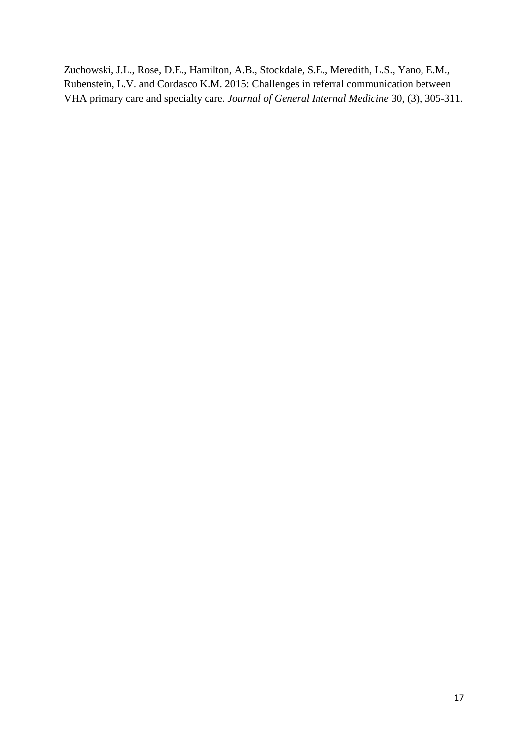Zuchowski, J.L., Rose, D.E., Hamilton, A.B., Stockdale, S.E., Meredith, L.S., Yano, E.M., Rubenstein, L.V. and Cordasco K.M. 2015: Challenges in referral communication between VHA primary care and specialty care. *Journal of General Internal Medicine* 30, (3), 305-311.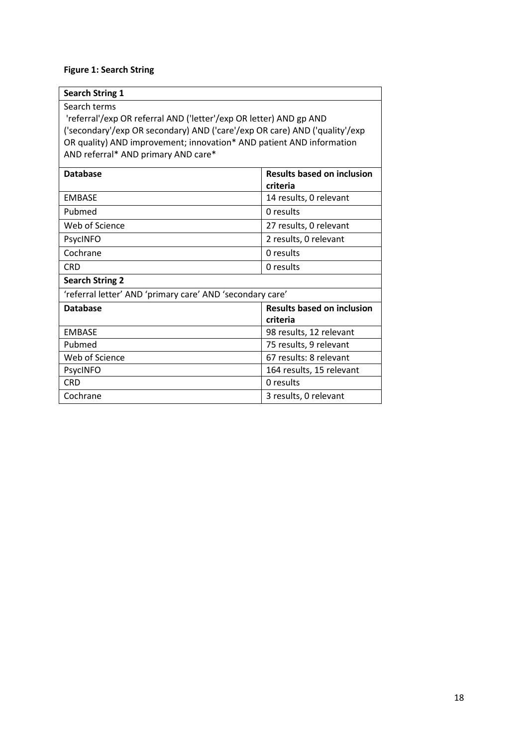# **Figure 1: Search String**

| <b>Search String 1</b>                                                                                                                                                                                                                                                          |                                   |  |
|---------------------------------------------------------------------------------------------------------------------------------------------------------------------------------------------------------------------------------------------------------------------------------|-----------------------------------|--|
| Search terms<br>'referral'/exp OR referral AND ('letter'/exp OR letter) AND gp AND<br>('secondary'/exp OR secondary) AND ('care'/exp OR care) AND ('quality'/exp<br>OR quality) AND improvement; innovation* AND patient AND information<br>AND referral* AND primary AND care* |                                   |  |
| <b>Database</b>                                                                                                                                                                                                                                                                 | <b>Results based on inclusion</b> |  |
|                                                                                                                                                                                                                                                                                 | criteria                          |  |
| <b>FMBASF</b>                                                                                                                                                                                                                                                                   | 14 results, 0 relevant            |  |
| Pubmed                                                                                                                                                                                                                                                                          | 0 results                         |  |
| Web of Science                                                                                                                                                                                                                                                                  | 27 results, 0 relevant            |  |
| PsycINFO                                                                                                                                                                                                                                                                        | 2 results, 0 relevant             |  |
| Cochrane                                                                                                                                                                                                                                                                        | 0 results                         |  |
| <b>CRD</b>                                                                                                                                                                                                                                                                      | 0 results                         |  |
| <b>Search String 2</b>                                                                                                                                                                                                                                                          |                                   |  |
| 'referral letter' AND 'primary care' AND 'secondary care'                                                                                                                                                                                                                       |                                   |  |
| <b>Database</b>                                                                                                                                                                                                                                                                 | <b>Results based on inclusion</b> |  |
|                                                                                                                                                                                                                                                                                 | criteria                          |  |
| <b>EMBASE</b>                                                                                                                                                                                                                                                                   | 98 results, 12 relevant           |  |
| Pubmed                                                                                                                                                                                                                                                                          | 75 results, 9 relevant            |  |
| Web of Science                                                                                                                                                                                                                                                                  | 67 results: 8 relevant            |  |
| PsycINFO                                                                                                                                                                                                                                                                        | 164 results, 15 relevant          |  |
| <b>CRD</b>                                                                                                                                                                                                                                                                      | 0 results                         |  |
| Cochrane                                                                                                                                                                                                                                                                        | 3 results, 0 relevant             |  |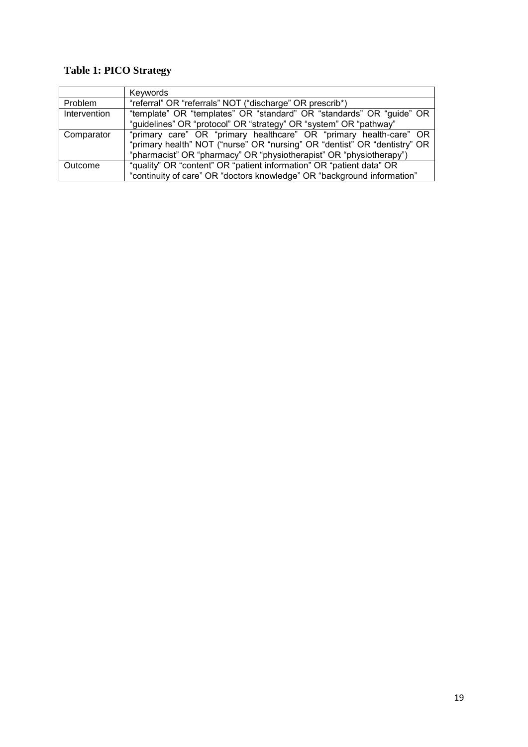# **Table 1: PICO Strategy**

|              | Keywords                                                                  |
|--------------|---------------------------------------------------------------------------|
| Problem      | "referral" OR "referrals" NOT ("discharge" OR prescrib*)                  |
| Intervention | "template" OR "templates" OR "standard" OR "standards" OR "guide" OR      |
|              | "guidelines" OR "protocol" OR "strategy" OR "system" OR "pathway"         |
| Comparator   | "primary care" OR "primary healthcare" OR "primary health-care" OR        |
|              | "primary health" NOT ("nurse" OR "nursing" OR "dentist" OR "dentistry" OR |
|              | "pharmacist" OR "pharmacy" OR "physiotherapist" OR "physiotherapy")       |
| Outcome      | "quality" OR "content" OR "patient information" OR "patient data" OR      |
|              | "continuity of care" OR "doctors knowledge" OR "background information"   |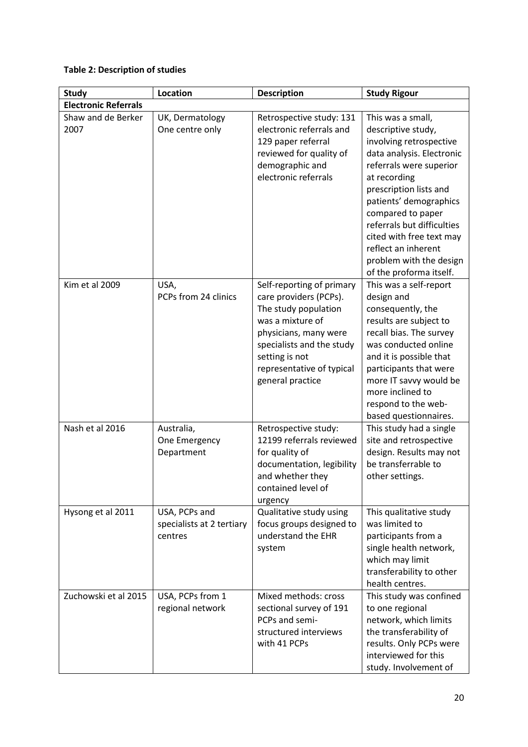# **Table 2: Description of studies**

| <b>Study</b>                | Location                                              | <b>Description</b>                                                                                                                                                                                                       | <b>Study Rigour</b>                                                                                                                                                                                                                                                                                                                                        |
|-----------------------------|-------------------------------------------------------|--------------------------------------------------------------------------------------------------------------------------------------------------------------------------------------------------------------------------|------------------------------------------------------------------------------------------------------------------------------------------------------------------------------------------------------------------------------------------------------------------------------------------------------------------------------------------------------------|
| <b>Electronic Referrals</b> |                                                       |                                                                                                                                                                                                                          |                                                                                                                                                                                                                                                                                                                                                            |
| Shaw and de Berker<br>2007  | UK, Dermatology<br>One centre only                    | Retrospective study: 131<br>electronic referrals and<br>129 paper referral<br>reviewed for quality of<br>demographic and<br>electronic referrals                                                                         | This was a small,<br>descriptive study,<br>involving retrospective<br>data analysis. Electronic<br>referrals were superior<br>at recording<br>prescription lists and<br>patients' demographics<br>compared to paper<br>referrals but difficulties<br>cited with free text may<br>reflect an inherent<br>problem with the design<br>of the proforma itself. |
| Kim et al 2009              | USA,<br>PCPs from 24 clinics                          | Self-reporting of primary<br>care providers (PCPs).<br>The study population<br>was a mixture of<br>physicians, many were<br>specialists and the study<br>setting is not<br>representative of typical<br>general practice | This was a self-report<br>design and<br>consequently, the<br>results are subject to<br>recall bias. The survey<br>was conducted online<br>and it is possible that<br>participants that were<br>more IT savvy would be<br>more inclined to<br>respond to the web-<br>based questionnaires.                                                                  |
| Nash et al 2016             | Australia,<br>One Emergency<br>Department             | Retrospective study:<br>12199 referrals reviewed<br>for quality of<br>documentation, legibility<br>and whether they<br>contained level of<br>urgency                                                                     | This study had a single<br>site and retrospective<br>design. Results may not<br>be transferrable to<br>other settings.                                                                                                                                                                                                                                     |
| Hysong et al 2011           | USA, PCPs and<br>specialists at 2 tertiary<br>centres | Qualitative study using<br>focus groups designed to<br>understand the EHR<br>system                                                                                                                                      | This qualitative study<br>was limited to<br>participants from a<br>single health network,<br>which may limit<br>transferability to other<br>health centres.                                                                                                                                                                                                |
| Zuchowski et al 2015        | USA, PCPs from 1<br>regional network                  | Mixed methods: cross<br>sectional survey of 191<br>PCPs and semi-<br>structured interviews<br>with 41 PCPs                                                                                                               | This study was confined<br>to one regional<br>network, which limits<br>the transferability of<br>results. Only PCPs were<br>interviewed for this<br>study. Involvement of                                                                                                                                                                                  |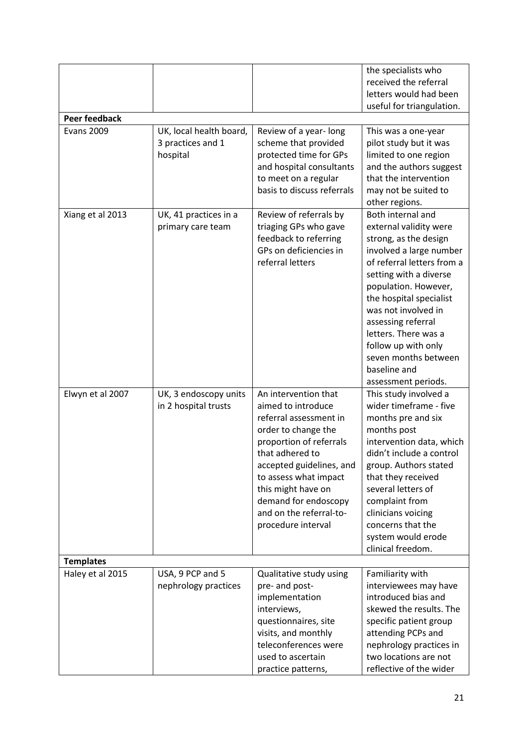|                      |                         |                                                | the specialists who<br>received the referral         |
|----------------------|-------------------------|------------------------------------------------|------------------------------------------------------|
|                      |                         |                                                | letters would had been                               |
| <b>Peer feedback</b> |                         |                                                | useful for triangulation.                            |
| <b>Evans 2009</b>    | UK, local health board, | Review of a year-long                          | This was a one-year                                  |
|                      | 3 practices and 1       | scheme that provided                           | pilot study but it was                               |
|                      | hospital                | protected time for GPs                         | limited to one region                                |
|                      |                         | and hospital consultants                       | and the authors suggest                              |
|                      |                         | to meet on a regular                           | that the intervention                                |
|                      |                         | basis to discuss referrals                     | may not be suited to                                 |
|                      |                         |                                                | other regions.                                       |
| Xiang et al 2013     | UK, 41 practices in a   | Review of referrals by                         | Both internal and                                    |
|                      | primary care team       | triaging GPs who gave<br>feedback to referring | external validity were<br>strong, as the design      |
|                      |                         | GPs on deficiencies in                         | involved a large number                              |
|                      |                         | referral letters                               | of referral letters from a                           |
|                      |                         |                                                | setting with a diverse                               |
|                      |                         |                                                | population. However,                                 |
|                      |                         |                                                | the hospital specialist                              |
|                      |                         |                                                | was not involved in                                  |
|                      |                         |                                                | assessing referral                                   |
|                      |                         |                                                | letters. There was a<br>follow up with only          |
|                      |                         |                                                | seven months between                                 |
|                      |                         |                                                | baseline and                                         |
|                      |                         |                                                | assessment periods.                                  |
| Elwyn et al 2007     | UK, 3 endoscopy units   | An intervention that                           | This study involved a                                |
|                      | in 2 hospital trusts    | aimed to introduce                             | wider timeframe - five                               |
|                      |                         | referral assessment in                         | months pre and six                                   |
|                      |                         | order to change the                            | months post                                          |
|                      |                         | proportion of referrals<br>that adhered to     | intervention data, which<br>didn't include a control |
|                      |                         | accepted guidelines, and                       | group. Authors stated                                |
|                      |                         | to assess what impact                          | that they received                                   |
|                      |                         | this might have on                             | several letters of                                   |
|                      |                         | demand for endoscopy                           | complaint from                                       |
|                      |                         | and on the referral-to-                        | clinicians voicing                                   |
|                      |                         | procedure interval                             | concerns that the                                    |
|                      |                         |                                                | system would erode                                   |
| <b>Templates</b>     |                         |                                                | clinical freedom.                                    |
| Haley et al 2015     | USA, 9 PCP and 5        | Qualitative study using                        | Familiarity with                                     |
|                      | nephrology practices    | pre- and post-                                 | interviewees may have                                |
|                      |                         | implementation                                 | introduced bias and                                  |
|                      |                         | interviews,                                    | skewed the results. The                              |
|                      |                         | questionnaires, site                           | specific patient group                               |
|                      |                         | visits, and monthly                            | attending PCPs and                                   |
|                      |                         | teleconferences were                           | nephrology practices in                              |
|                      |                         | used to ascertain                              | two locations are not                                |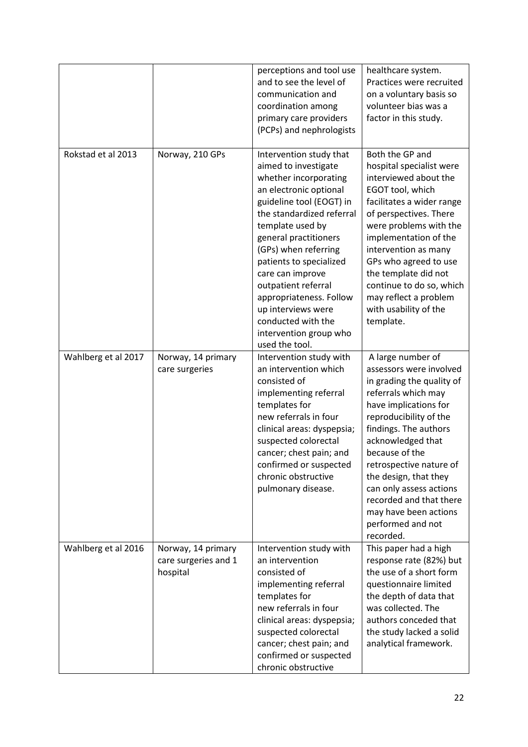|                     |                                                        | perceptions and tool use<br>and to see the level of<br>communication and<br>coordination among<br>primary care providers<br>(PCPs) and nephrologists                                                                                                                                                                                                                                                                      | healthcare system.<br>Practices were recruited<br>on a voluntary basis so<br>volunteer bias was a<br>factor in this study.                                                                                                                                                                                                                                                               |
|---------------------|--------------------------------------------------------|---------------------------------------------------------------------------------------------------------------------------------------------------------------------------------------------------------------------------------------------------------------------------------------------------------------------------------------------------------------------------------------------------------------------------|------------------------------------------------------------------------------------------------------------------------------------------------------------------------------------------------------------------------------------------------------------------------------------------------------------------------------------------------------------------------------------------|
| Rokstad et al 2013  | Norway, 210 GPs                                        | Intervention study that<br>aimed to investigate<br>whether incorporating<br>an electronic optional<br>guideline tool (EOGT) in<br>the standardized referral<br>template used by<br>general practitioners<br>(GPs) when referring<br>patients to specialized<br>care can improve<br>outpatient referral<br>appropriateness. Follow<br>up interviews were<br>conducted with the<br>intervention group who<br>used the tool. | Both the GP and<br>hospital specialist were<br>interviewed about the<br>EGOT tool, which<br>facilitates a wider range<br>of perspectives. There<br>were problems with the<br>implementation of the<br>intervention as many<br>GPs who agreed to use<br>the template did not<br>continue to do so, which<br>may reflect a problem<br>with usability of the<br>template.                   |
| Wahlberg et al 2017 | Norway, 14 primary<br>care surgeries                   | Intervention study with<br>an intervention which<br>consisted of<br>implementing referral<br>templates for<br>new referrals in four<br>clinical areas: dyspepsia;<br>suspected colorectal<br>cancer; chest pain; and<br>confirmed or suspected<br>chronic obstructive<br>pulmonary disease.                                                                                                                               | A large number of<br>assessors were involved<br>in grading the quality of<br>referrals which may<br>have implications for<br>reproducibility of the<br>findings. The authors<br>acknowledged that<br>because of the<br>retrospective nature of<br>the design, that they<br>can only assess actions<br>recorded and that there<br>may have been actions<br>performed and not<br>recorded. |
| Wahlberg et al 2016 | Norway, 14 primary<br>care surgeries and 1<br>hospital | Intervention study with<br>an intervention<br>consisted of<br>implementing referral<br>templates for<br>new referrals in four<br>clinical areas: dyspepsia;<br>suspected colorectal<br>cancer; chest pain; and<br>confirmed or suspected<br>chronic obstructive                                                                                                                                                           | This paper had a high<br>response rate (82%) but<br>the use of a short form<br>questionnaire limited<br>the depth of data that<br>was collected. The<br>authors conceded that<br>the study lacked a solid<br>analytical framework.                                                                                                                                                       |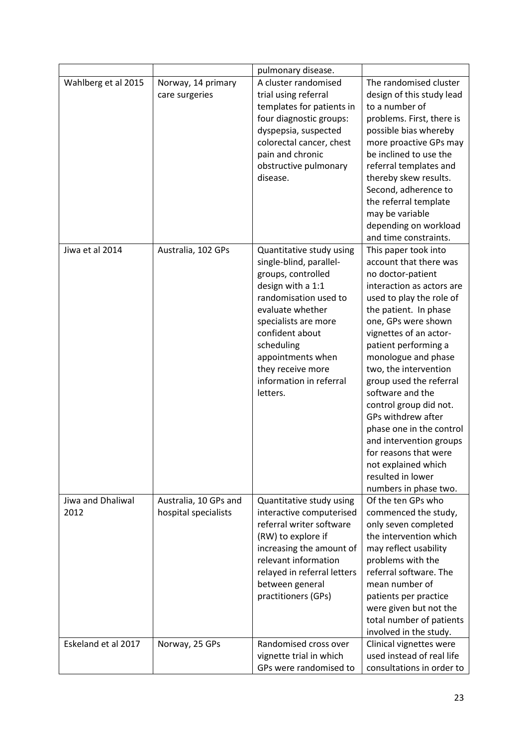|                           |                                               | pulmonary disease.                                                                                                                                                                                                                                                                    |                                                                                                                                                                                                                                                                                                                                                                                                                                                                                                                                    |
|---------------------------|-----------------------------------------------|---------------------------------------------------------------------------------------------------------------------------------------------------------------------------------------------------------------------------------------------------------------------------------------|------------------------------------------------------------------------------------------------------------------------------------------------------------------------------------------------------------------------------------------------------------------------------------------------------------------------------------------------------------------------------------------------------------------------------------------------------------------------------------------------------------------------------------|
| Wahlberg et al 2015       | Norway, 14 primary<br>care surgeries          | A cluster randomised<br>trial using referral<br>templates for patients in<br>four diagnostic groups:<br>dyspepsia, suspected<br>colorectal cancer, chest<br>pain and chronic<br>obstructive pulmonary<br>disease.                                                                     | The randomised cluster<br>design of this study lead<br>to a number of<br>problems. First, there is<br>possible bias whereby<br>more proactive GPs may<br>be inclined to use the<br>referral templates and<br>thereby skew results.<br>Second, adherence to<br>the referral template<br>may be variable<br>depending on workload<br>and time constraints.                                                                                                                                                                           |
| Jiwa et al 2014           | Australia, 102 GPs                            | Quantitative study using<br>single-blind, parallel-<br>groups, controlled<br>design with a 1:1<br>randomisation used to<br>evaluate whether<br>specialists are more<br>confident about<br>scheduling<br>appointments when<br>they receive more<br>information in referral<br>letters. | This paper took into<br>account that there was<br>no doctor-patient<br>interaction as actors are<br>used to play the role of<br>the patient. In phase<br>one, GPs were shown<br>vignettes of an actor-<br>patient performing a<br>monologue and phase<br>two, the intervention<br>group used the referral<br>software and the<br>control group did not.<br>GPs withdrew after<br>phase one in the control<br>and intervention groups<br>for reasons that were<br>not explained which<br>resulted in lower<br>numbers in phase two. |
| Jiwa and Dhaliwal<br>2012 | Australia, 10 GPs and<br>hospital specialists | Quantitative study using<br>interactive computerised<br>referral writer software<br>(RW) to explore if<br>increasing the amount of<br>relevant information<br>relayed in referral letters<br>between general<br>practitioners (GPs)                                                   | Of the ten GPs who<br>commenced the study,<br>only seven completed<br>the intervention which<br>may reflect usability<br>problems with the<br>referral software. The<br>mean number of<br>patients per practice<br>were given but not the<br>total number of patients<br>involved in the study.                                                                                                                                                                                                                                    |
| Eskeland et al 2017       | Norway, 25 GPs                                | Randomised cross over<br>vignette trial in which<br>GPs were randomised to                                                                                                                                                                                                            | Clinical vignettes were<br>used instead of real life<br>consultations in order to                                                                                                                                                                                                                                                                                                                                                                                                                                                  |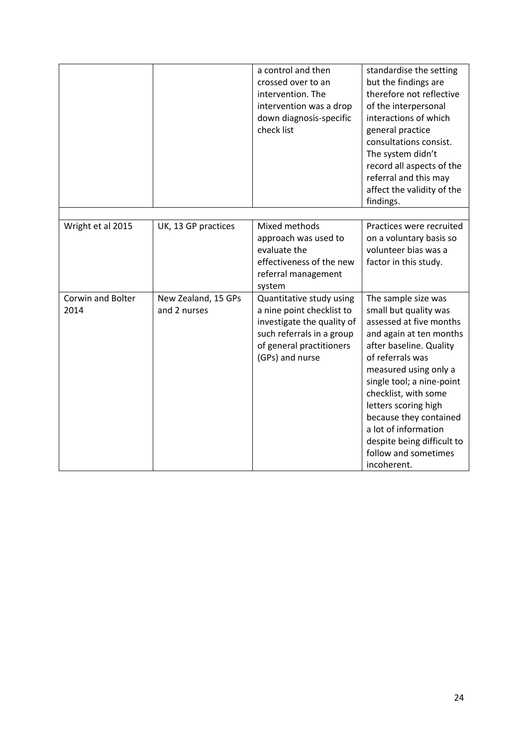|                           |                                     | a control and then<br>crossed over to an<br>intervention. The<br>intervention was a drop<br>down diagnosis-specific<br>check list                               | standardise the setting<br>but the findings are<br>therefore not reflective<br>of the interpersonal<br>interactions of which<br>general practice<br>consultations consist.<br>The system didn't<br>record all aspects of the<br>referral and this may<br>affect the validity of the<br>findings.                                                                               |
|---------------------------|-------------------------------------|-----------------------------------------------------------------------------------------------------------------------------------------------------------------|--------------------------------------------------------------------------------------------------------------------------------------------------------------------------------------------------------------------------------------------------------------------------------------------------------------------------------------------------------------------------------|
| Wright et al 2015         | UK, 13 GP practices                 | Mixed methods<br>approach was used to<br>evaluate the<br>effectiveness of the new<br>referral management<br>system                                              | Practices were recruited<br>on a voluntary basis so<br>volunteer bias was a<br>factor in this study.                                                                                                                                                                                                                                                                           |
| Corwin and Bolter<br>2014 | New Zealand, 15 GPs<br>and 2 nurses | Quantitative study using<br>a nine point checklist to<br>investigate the quality of<br>such referrals in a group<br>of general practitioners<br>(GPs) and nurse | The sample size was<br>small but quality was<br>assessed at five months<br>and again at ten months<br>after baseline. Quality<br>of referrals was<br>measured using only a<br>single tool; a nine-point<br>checklist, with some<br>letters scoring high<br>because they contained<br>a lot of information<br>despite being difficult to<br>follow and sometimes<br>incoherent. |